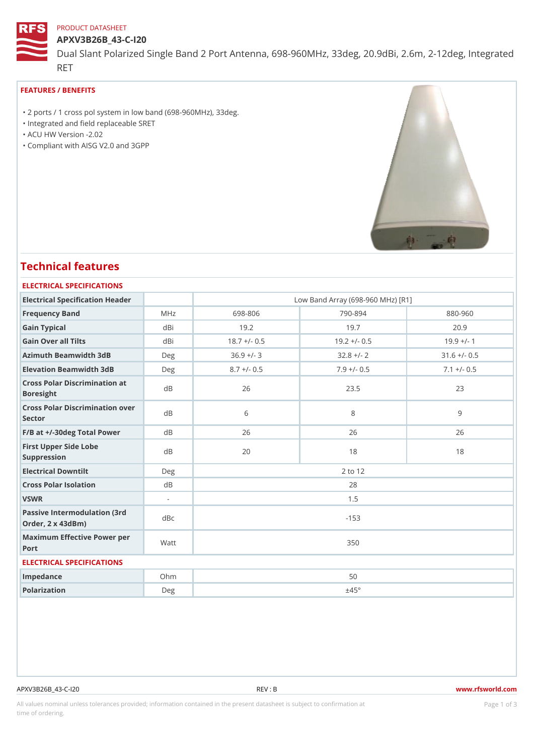#### PRODUCT DATASHEET

APXV3B26B\_43-C-I20 Dual Slant Polarized Single Band 2 Port Antenna, 698-960MHz, 33deg, RET

### FEATURES / BENEFITS

 "2 ports / 1 cross pol system in low band (698-960MHz), 33deg. "Integrated and field replaceable SRET "ACU HW Version -2.02 "Compliant with AISG V2.0 and 3GPP

# Technical features

## ELECTRICAL SPECIFICATIONS Electrical Specification Header Low Band Array (698-960 MHz) [R1] Frequency Band MHz 698-806 790-894 880-960 Gain Typical dBi 19.2 19.7 20.9 Gain Over all Tilts dBi 18.7 +/- 0.5 19.2 +/- 0.5 19.9 +/- 1 Azimuth Beamwidth 3dB Deg 36.9 +/- 3 32.8 +/- 2 31.6 +/- 0.5 Elevation Beamwidth 3dB Deg 8.7 +/- 0.5 7.9 +/- 0.5 7.1 +/- 0.5 Cross Polar Discrimination at Boresight dB 26 23.5 23 Cross Polar Discrimination over Sector  $\overline{d}$ B 8 9 F/B at +/-30deg Total PowerdB 26 26 26 26 26 First Upper Side Lobe Suppression dB 20 18 18 Electrical Downtilt Deg 2 to 12 Cross Polar Isolation dB 28 VSWR 1.5 Passive Intermodulation (3rd Bc) Order, 2 x 43dBm)  $\overline{d}$ Bc  $\overline{d}$  -153 Maximum Effective Power per Vatt de la constant de la second de la second de la second de la second de la second<br>De la second de la second de la second de la second de la second de la second de la second de la second de la Port ELECTRICAL SPECIFICATIONS Impedance **Ohm** Ohm 50 Polarization Deg  $\pm 45^{\circ}$

#### APXV3B26B\_43-C-I20 REV : B www.rfsworld.com

All values nominal unless tolerances provided; information contained in the present datasheet is subject to PcaogneionIm atio time of ordering.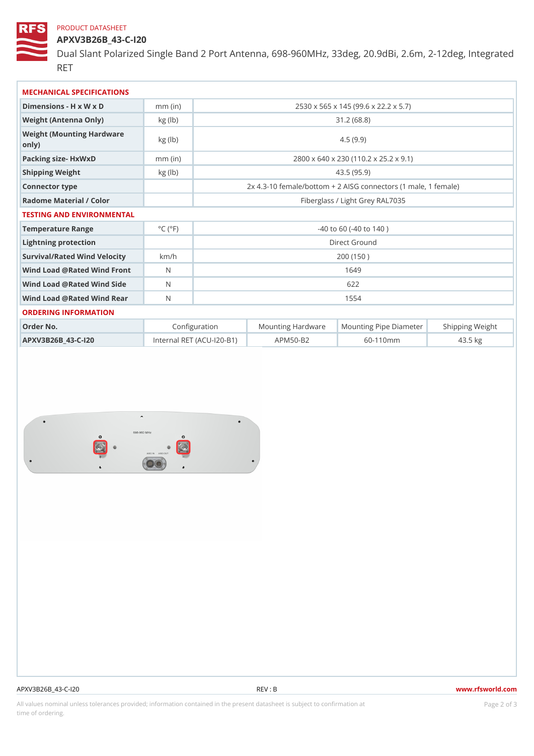### PRODUCT DATASHEET

APXV3B26B\_43-C-I20 Dual Slant Polarized Single Band 2 Port Antenna, 698-960MHz, 33deg, RET

| MECHANICAL SPECIFICATIONS                  |                             |                                                        |                                    |                                                     |           |
|--------------------------------------------|-----------------------------|--------------------------------------------------------|------------------------------------|-----------------------------------------------------|-----------|
| Dimensions - H x W x D                     | $mm$ (in)                   |                                                        |                                    | 2530 x 565 x 145 (99.6 x 22.2 x 5.7)                |           |
| Weight (Antenna Only)                      | kg (lb)                     |                                                        |                                    | 31.2(68.8)                                          |           |
| Weight (Mounting Hardware kg (lb)<br>0nly) |                             | 4.5(9.9)                                               |                                    |                                                     |           |
| Packing size- HxWxD                        | $mm$ (in)                   |                                                        |                                    | 2800 x 640 x 230 (110.2 x 25.2 x 9.1)               |           |
| Shipping Weight                            | kg (lb)                     | 43.5(95.9)                                             |                                    |                                                     |           |
| Connector type                             |                             | 2x 4.3-10 female/bottom + 2 AISG connectors (1 male, 1 |                                    |                                                     |           |
| Radome Material / Color                    |                             | Fiberglass / Light Grey RAL7035                        |                                    |                                                     |           |
| TESTING AND ENVIRONMENTAL                  |                             |                                                        |                                    |                                                     |           |
| Temperature Range                          | $^{\circ}$ C ( $^{\circ}$ F | $-40$ to 60 ( $-40$ to 140)                            |                                    |                                                     |           |
| Lightning protection                       |                             | Direct Ground                                          |                                    |                                                     |           |
| Survival/Rated Wind Velocikm/h             |                             | 200 (150)                                              |                                    |                                                     |           |
| Wind Load @ Rated Wind Front               |                             | 1649                                                   |                                    |                                                     |           |
| Wind Load @ Rated Wind Side                |                             | 622                                                    |                                    |                                                     |           |
| Wind Load @ Rated Wind ReaN                |                             | 1554                                                   |                                    |                                                     |           |
| ORDERING INFORMATION                       |                             |                                                        |                                    |                                                     |           |
| Order No.                                  |                             | Configuration                                          |                                    | Mounting HardwaMeunting Pipe D am Stheimping Weight |           |
| APXV3B26B_43-C-120                         |                             |                                                        | Internal RET (ACU-120–BA1F) M50–B2 | $60 - 110$ m m                                      | $43.5$ kg |